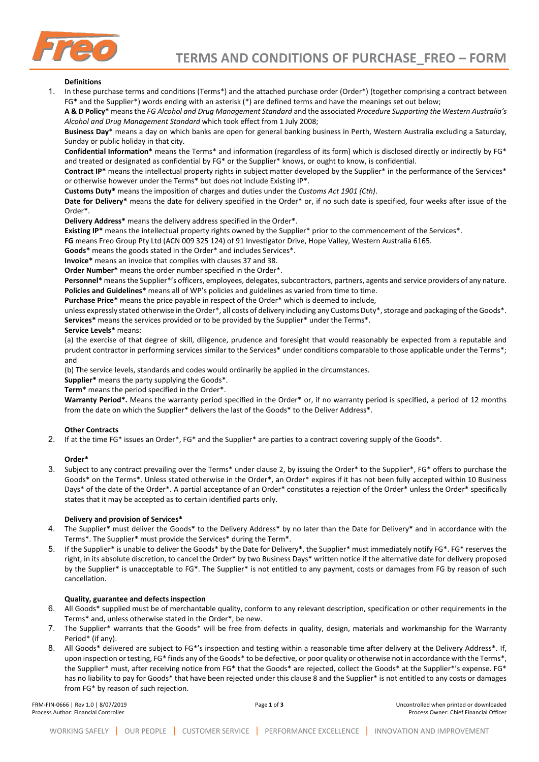

### **Definitions**

1. In these purchase terms and conditions (Terms\*) and the attached purchase order (Order\*) (together comprising a contract between FG\* and the Supplier\*) words ending with an asterisk (\*) are defined terms and have the meanings set out below;

**A & D Policy\*** means the *FG Alcohol and Drug Management Standard* and the associated *Procedure Supporting the Western Australia's Alcohol and Drug Management Standard* which took effect from 1 July 2008;

**Business Day\*** means a day on which banks are open for general banking business in Perth, Western Australia excluding a Saturday, Sunday or public holiday in that city.

**Confidential Information\*** means the Terms\* and information (regardless of its form) which is disclosed directly or indirectly by FG\* and treated or designated as confidential by FG\* or the Supplier\* knows, or ought to know, is confidential.

**Contract IP\*** means the intellectual property rights in subject matter developed by the Supplier\* in the performance of the Services\* or otherwise however under the Terms\* but does not include Existing IP\*.

**Customs Duty\*** means the imposition of charges and duties under the *Customs Act 1901 (Cth)*.

**Date for Delivery\*** means the date for delivery specified in the Order\* or, if no such date is specified, four weeks after issue of the Order\*.

**Delivery Address\*** means the delivery address specified in the Order\*.

**Existing IP\*** means the intellectual property rights owned by the Supplier\* prior to the commencement of the Services\*.

**FG** means Freo Group Pty Ltd (ACN 009 325 124) of 91 Investigator Drive, Hope Valley, Western Australia 6165.

**Goods\*** means the goods stated in the Order\* and includes Services\*.

**Invoice\*** means an invoice that complies with clauses 37 and 38.

**Order Number\*** means the order number specified in the Order\*.

**Personnel\*** means the Supplier\*'s officers, employees, delegates, subcontractors, partners, agents and service providers of any nature. **Policies and Guidelines\*** means all of WP's policies and guidelines as varied from time to time.

**Purchase Price\*** means the price payable in respect of the Order\* which is deemed to include,

unless expressly stated otherwise in the Order\*, all costs of delivery including any Customs Duty\*, storage and packaging of the Goods\*. **Services\*** means the services provided or to be provided by the Supplier\* under the Terms\*.

### **Service Levels\*** means:

(a) the exercise of that degree of skill, diligence, prudence and foresight that would reasonably be expected from a reputable and prudent contractor in performing services similar to the Services\* under conditions comparable to those applicable under the Terms\*; and

(b) The service levels, standards and codes would ordinarily be applied in the circumstances.

**Supplier\*** means the party supplying the Goods\*.

**Term\*** means the period specified in the Order\*.

**Warranty Period\*.** Means the warranty period specified in the Order\* or, if no warranty period is specified, a period of 12 months from the date on which the Supplier\* delivers the last of the Goods\* to the Deliver Address\*.

## **Other Contracts**

2. If at the time FG\* issues an Order\*, FG\* and the Supplier\* are parties to a contract covering supply of the Goods\*.

## **Order\***

3. Subject to any contract prevailing over the Terms\* under clause 2, by issuing the Order\* to the Supplier\*, FG\* offers to purchase the Goods\* on the Terms\*. Unless stated otherwise in the Order\*, an Order\* expires if it has not been fully accepted within 10 Business Days\* of the date of the Order\*. A partial acceptance of an Order\* constitutes a rejection of the Order\* unless the Order\* specifically states that it may be accepted as to certain identified parts only.

# **Delivery and provision of Services\***

- 4. The Supplier\* must deliver the Goods\* to the Delivery Address\* by no later than the Date for Delivery\* and in accordance with the Terms\*. The Supplier\* must provide the Services\* during the Term\*.
- 5. If the Supplier\* is unable to deliver the Goods\* by the Date for Delivery\*, the Supplier\* must immediately notify FG\*. FG\* reserves the right, in its absolute discretion, to cancel the Order\* by two Business Days\* written notice if the alternative date for delivery proposed by the Supplier\* is unacceptable to FG\*. The Supplier\* is not entitled to any payment, costs or damages from FG by reason of such cancellation.

## **Quality, guarantee and defects inspection**

- 6. All Goods\* supplied must be of merchantable quality, conform to any relevant description, specification or other requirements in the Terms\* and, unless otherwise stated in the Order\*, be new.
- 7. The Supplier\* warrants that the Goods\* will be free from defects in quality, design, materials and workmanship for the Warranty Period\* (if any).
- 8. All Goods\* delivered are subject to FG\*'s inspection and testing within a reasonable time after delivery at the Delivery Address\*. If, upon inspection or testing, FG\* finds any of the Goods\* to be defective, or poor quality or otherwise not in accordance with the Terms\*, the Supplier\* must, after receiving notice from FG\* that the Goods\* are rejected, collect the Goods\* at the Supplier\*'s expense. FG\* has no liability to pay for Goods\* that have been rejected under this clause 8 and the Supplier\* is not entitled to any costs or damages from FG\* by reason of such rejection.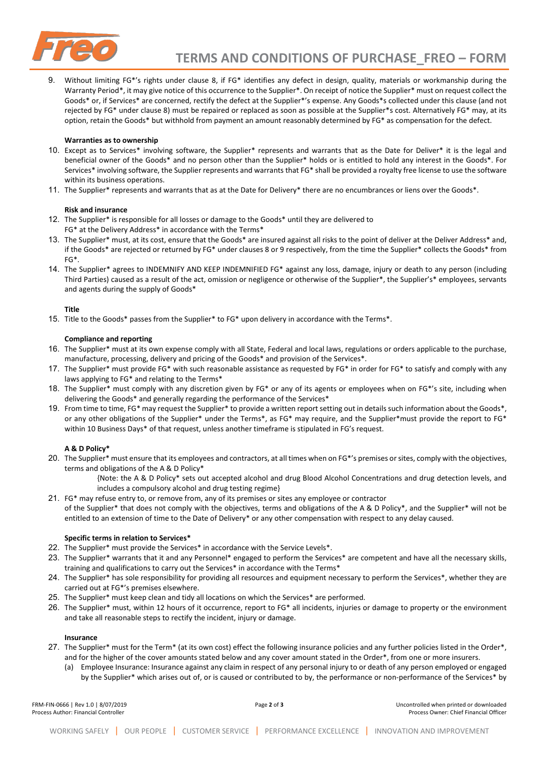

Without limiting FG\*'s rights under clause 8, if FG\* identifies any defect in design, quality, materials or workmanship during the Warranty Period\*, it may give notice of this occurrence to the Supplier\*. On receipt of notice the Supplier\* must on request collect the Goods\* or, if Services\* are concerned, rectify the defect at the Supplier\*'s expense. Any Goods\*s collected under this clause (and not rejected by FG\* under clause 8) must be repaired or replaced as soon as possible at the Supplier\*s cost. Alternatively FG\* may, at its option, retain the Goods\* but withhold from payment an amount reasonably determined by FG\* as compensation for the defect.

### **Warranties as to ownership**

- 10. Except as to Services\* involving software, the Supplier\* represents and warrants that as the Date for Deliver\* it is the legal and beneficial owner of the Goods\* and no person other than the Supplier\* holds or is entitled to hold any interest in the Goods\*. For Services\* involving software, the Supplier represents and warrants that FG\* shall be provided a royalty free license to use the software within its business operations.
- 11. The Supplier\* represents and warrants that as at the Date for Delivery\* there are no encumbrances or liens over the Goods\*.

#### **Risk and insurance**

- 12. The Supplier\* is responsible for all losses or damage to the Goods\* until they are delivered to FG\* at the Delivery Address\* in accordance with the Terms\*
- 13. The Supplier\* must, at its cost, ensure that the Goods\* are insured against all risks to the point of deliver at the Deliver Address\* and, if the Goods\* are rejected or returned by FG\* under clauses 8 or 9 respectively, from the time the Supplier\* collects the Goods\* from FG\*.
- 14. The Supplier\* agrees to INDEMNIFY AND KEEP INDEMNIFIED FG\* against any loss, damage, injury or death to any person (including Third Parties) caused as a result of the act, omission or negligence or otherwise of the Supplier\*, the Supplier's\* employees, servants and agents during the supply of Goods\*

#### **Title**

15. Title to the Goods\* passes from the Supplier\* to FG\* upon delivery in accordance with the Terms\*.

#### **Compliance and reporting**

- 16. The Supplier\* must at its own expense comply with all State, Federal and local laws, regulations or orders applicable to the purchase, manufacture, processing, delivery and pricing of the Goods\* and provision of the Services\*.
- 17. The Supplier\* must provide FG\* with such reasonable assistance as requested by FG\* in order for FG\* to satisfy and comply with any laws applying to FG\* and relating to the Terms\*
- 18. The Supplier\* must comply with any discretion given by FG\* or any of its agents or employees when on FG\*'s site, including when delivering the Goods\* and generally regarding the performance of the Services\*
- 19. From time to time, FG\* may request the Supplier\* to provide a written report setting out in details such information about the Goods\*, or any other obligations of the Supplier\* under the Terms\*, as FG\* may require, and the Supplier\*must provide the report to FG\* within 10 Business Days\* of that request, unless another timeframe is stipulated in FG's request.

## **A & D Policy\***

- 20. The Supplier\* must ensure that its employees and contractors, at all times when on FG\*'s premises or sites, comply with the objectives, terms and obligations of the A & D Policy\*
	- {Note: the A & D Policy\* sets out accepted alcohol and drug Blood Alcohol Concentrations and drug detection levels, and includes a compulsory alcohol and drug testing regime}
- 21. FG\* may refuse entry to, or remove from, any of its premises or sites any employee or contractor
- of the Supplier\* that does not comply with the objectives, terms and obligations of the A & D Policy\*, and the Supplier\* will not be entitled to an extension of time to the Date of Delivery\* or any other compensation with respect to any delay caused.

### **Specific terms in relation to Services\***

- 22. The Supplier\* must provide the Services\* in accordance with the Service Levels\*.
- 23. The Supplier\* warrants that it and any Personnel\* engaged to perform the Services\* are competent and have all the necessary skills, training and qualifications to carry out the Services\* in accordance with the Terms\*
- 24. The Supplier\* has sole responsibility for providing all resources and equipment necessary to perform the Services\*, whether they are carried out at FG\*'s premises elsewhere.
- 25. The Supplier\* must keep clean and tidy all locations on which the Services\* are performed.
- 26. The Supplier\* must, within 12 hours of it occurrence, report to FG\* all incidents, injuries or damage to property or the environment and take all reasonable steps to rectify the incident, injury or damage.

# **Insurance**

- 27. The Supplier\* must for the Term\* (at its own cost) effect the following insurance policies and any further policies listed in the Order\*, and for the higher of the cover amounts stated below and any cover amount stated in the Order\*, from one or more insurers.
	- (a) Employee Insurance: Insurance against any claim in respect of any personal injury to or death of any person employed or engaged by the Supplier\* which arises out of, or is caused or contributed to by, the performance or non-performance of the Services\* by